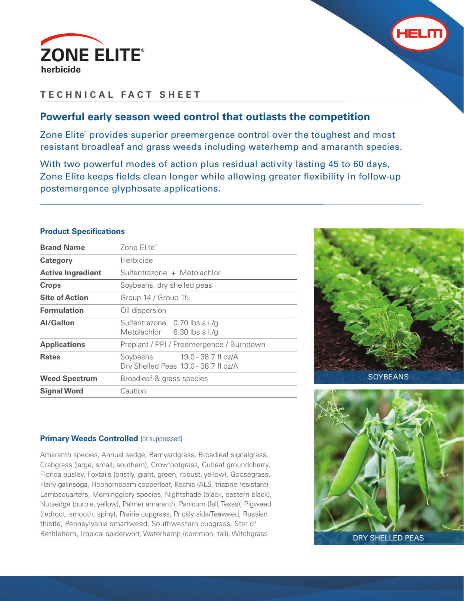



# **TECHNICAL FACT SHEET**

## **Powerful early season weed control that outlasts the competition**

Zone Elite® provides superior preemergence control over the toughest and most resistant broadleaf and grass weeds including waterhemp and amaranth species.

With two powerful modes of action plus residual activity lasting 45 to 60 days, Zone Elite keeps fields clean longer while allowing greater flexibility in follow-up postemergence glyphosate applications.

#### **Product Specifications**

| <b>Brand Name</b>        | Zone Flite®                                                          |  |  |  |  |  |
|--------------------------|----------------------------------------------------------------------|--|--|--|--|--|
| Category                 | Herbicide                                                            |  |  |  |  |  |
| <b>Active Ingredient</b> | Sulfentrazone + Metolachlor                                          |  |  |  |  |  |
| <b>Crops</b>             | Soybeans, dry shelled peas                                           |  |  |  |  |  |
| <b>Site of Action</b>    | Group 14 / Group 15                                                  |  |  |  |  |  |
| <b>Formulation</b>       | Oil dispersion                                                       |  |  |  |  |  |
| Al/Gallon                | Sulfentrazone 0.70 lbs a.i./g<br>Metolachlor 6.30 lbs a.i./g         |  |  |  |  |  |
| <b>Applications</b>      | Preplant / PPI / Preemergence / Burndown                             |  |  |  |  |  |
| <b>Rates</b>             | Soybeans 19.0 - 38.7 fl oz/A<br>Dry Shelled Peas 13.0 - 38.7 fl oz/A |  |  |  |  |  |
| <b>Weed Spectrum</b>     | Broadleaf & grass species                                            |  |  |  |  |  |
| <b>Signal Word</b>       | Caution                                                              |  |  |  |  |  |



### **Primary Weeds Controlled (or suppressed)**

Amaranth species, Annual sedge, Barnyardgrass, Broadleaf signalgrass, Crabgrass (large, small, southern), Crowfootgrass, Cutleaf groundcherry, Florida pusley, Foxtails (bristly, giant, green, robust, yellow), Goosegrass, Hairy galinsoga, Hophornbeam copperleaf, Kochia (ALS, triazine resistant), Lambsquarters, Morningglory species, Nightshade (black, eastern black), Nutsedge (purple, yellow), Palmer amaranth, Panicum (fall, Texas), Pigweed (redroot, smooth, spiny), Prairie cupgrass, Prickly sida/Teaweed, Russian thistle, Pennsylvania smartweed, Southwestern cupgrass, Star of Bethlehem, Tropical spiderwort, Waterhemp (common, tall), Witchgrass



DRY SHELLED PEAS